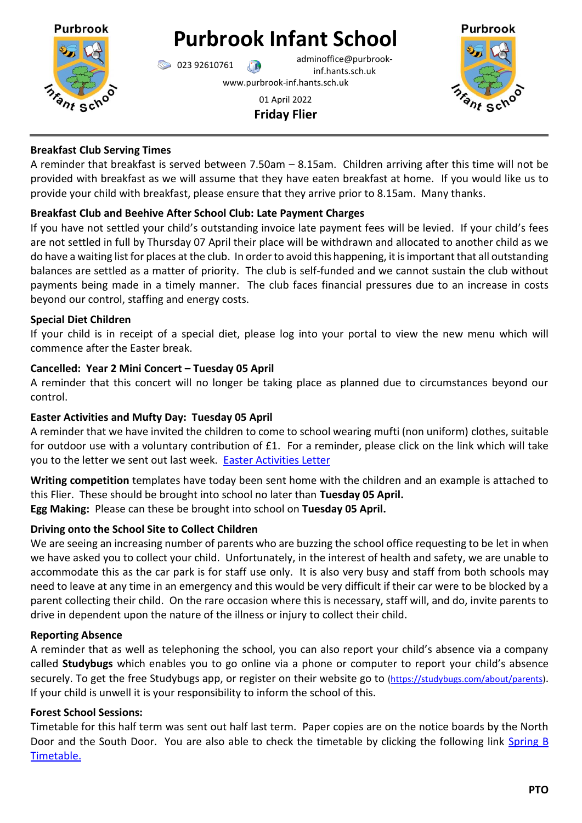

# **Purbrook Infant School**

01 April 2022 **Friday Flier**

023 92610761 adminoffice@purbrookinf.hants.sch.uk www.purbrook-inf.hants.sch.uk





## **Breakfast Club Serving Times**

A reminder that breakfast is served between 7.50am – 8.15am. Children arriving after this time will not be provided with breakfast as we will assume that they have eaten breakfast at home. If you would like us to provide your child with breakfast, please ensure that they arrive prior to 8.15am. Many thanks.

## **Breakfast Club and Beehive After School Club: Late Payment Charges**

If you have not settled your child's outstanding invoice late payment fees will be levied. If your child's fees are not settled in full by Thursday 07 April their place will be withdrawn and allocated to another child as we do have a waiting list for places at the club. In order to avoid this happening, it is important that all outstanding balances are settled as a matter of priority. The club is self-funded and we cannot sustain the club without payments being made in a timely manner. The club faces financial pressures due to an increase in costs beyond our control, staffing and energy costs.

#### **Special Diet Children**

If your child is in receipt of a special diet, please log into your portal to view the new menu which will commence after the Easter break.

## **Cancelled: Year 2 Mini Concert – Tuesday 05 April**

A reminder that this concert will no longer be taking place as planned due to circumstances beyond our control.

## **Easter Activities and Mufty Day: Tuesday 05 April**

A reminder that we have invited the children to come to school wearing mufti (non uniform) clothes, suitable for outdoor use with a voluntary contribution of £1. For a reminder, please click on the link which will take you to the letter we sent out last week. [Easter Activities Letter](https://www.purbrook-inf.hants.sch.uk/wp-content/uploads/2022/03/25-03-2022-Let-re-Easter-Activities.pdf)

**Writing competition** templates have today been sent home with the children and an example is attached to this Flier. These should be brought into school no later than **Tuesday 05 April. Egg Making:** Please can these be brought into school on **Tuesday 05 April.**

## **Driving onto the School Site to Collect Children**

We are seeing an increasing number of parents who are buzzing the school office requesting to be let in when we have asked you to collect your child. Unfortunately, in the interest of health and safety, we are unable to accommodate this as the car park is for staff use only. It is also very busy and staff from both schools may need to leave at any time in an emergency and this would be very difficult if their car were to be blocked by a parent collecting their child. On the rare occasion where this is necessary, staff will, and do, invite parents to drive in dependent upon the nature of the illness or injury to collect their child.

## **Reporting Absence**

A reminder that as well as telephoning the school, you can also report your child's absence via a company called **Studybugs** which enables you to go online via a phone or computer to report your child's absence securely. To get the free Studybugs app, or register on their website go to [\(https://studybugs.com/about/parents\)](https://studybugs.com/about/parents). If your child is unwell it is your responsibility to inform the school of this.

## **Forest School Sessions:**

Timetable for this half term was sent out half last term. Paper copies are on the notice boards by the North Door and the South Door. You are also able to check the timetable by clicking the following link Spring B [Timetable.](https://www.purbrook-inf.hants.sch.uk/wp-content/uploads/2022/02/Forest-School-timetable-Spring-B-2022.pdf)